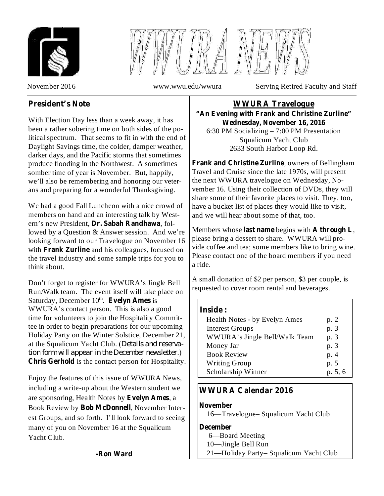



November 2016 www.wwu.edu/wwura Serving Retired Faculty and Staff

# **President's Note**

With Election Day less than a week away, it has been a rather sobering time on both sides of the political spectrum. That seems to fit in with the end of Daylight Savings time, the colder, damper weather, darker days, and the Pacific storms that sometimes produce flooding in the Northwest. A sometimes somber time of year is November. But, happily, we'll also be remembering and honoring our veterans and preparing for a wonderful Thanksgiving.

We had a good Fall Luncheon with a nice crowd of members on hand and an interesting talk by Western's new President, Dr. Sabah Randhawa, followed by a Question & Answer session. And we're looking forward to our Travelogue on November 16 with Frank Zurline and his colleagues, focused on the travel industry and some sample trips for you to think about.

Don't forget to register for WWURA's Jingle Bell Run/Walk team. The event itself will take place on Saturday, December 10<sup>th</sup>. Evelyn Ames is WWURA's contact person. This is also a good time for volunteers to join the Hospitality Committee in order to begin preparations for our upcoming Holiday Party on the Winter Solstice, December 21, at the Squalicum Yacht Club. ( *Details and reserva-*.) *tion form will appear in the December newsletter***Chris Gerhold** is the contact person for Hospitality.

Enjoy the features of this issue of WWURA News, including a write-up about the Western student we are sponsoring, Health Notes by Evelyn Ames, a Book Review by Bob McDonnell, November Interest Groups, and so forth. I'll look forward to seeing many of you on November 16 at the Squalicum Yacht Club.

6:30 PM Socializing – 7:00 PM Presentation Squalicum Yacht Club 2633 South Harbor Loop Rd. **WWURA Travelogue "An Evening with Frank and Christine Zurline" Wednesday, November 16, 2016**

**Frank and Christine Zurline**, owners of Bellingham Travel and Cruise since the late 1970s, will present the next WWURA travelogue on Wednesday, November 16. Using their collection of DVDs, they will share some of their favorite places to visit. They, too, have a bucket list of places they would like to visit, and we will hear about some of that, too.

Members whose last name begins with A through L, please bring a dessert to share. WWURA will provide coffee and tea; some members like to bring wine. Please contact one of the board members if you need a ride.

A small donation of \$2 per person, \$3 per couple, is requested to cover room rental and beverages.

## **Inside :**

| Health Notes - by Evelyn Ames | p. 2    |
|-------------------------------|---------|
| <b>Interest Groups</b>        | p. 3    |
| WWURA's Jingle Bell/Walk Team | p. 3    |
| Money Jar                     | p. 3    |
| <b>Book Review</b>            | p.4     |
| <b>Writing Group</b>          | p. 5    |
| Scholarship Winner            | p. 5, 6 |

# **WWURA Calendar 2016**

## **November**

16—Travelogue– Squalicum Yacht Club

## **December**

6—Board Meeting

- 10—Jingle Bell Run
- 21—Holiday Party– Squalicum Yacht Club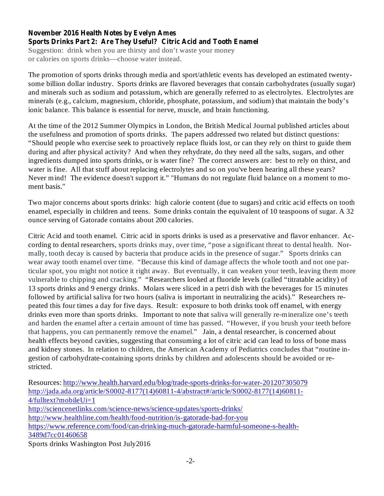## **November 2016 Health Notes by Evelyn Ames Sports Drinks Part 2: Are They Useful? Citric Acid and Tooth Enamel**

Suggestion: drink when you are thirsty and don't waste your money or calories on sports drinks—choose water instead.

The promotion of sports drinks through media and sport/athletic events has developed an estimated twentysome billion dollar industry. Sports drinks are flavored beverages that contain carbohydrates (usually sugar) and minerals such as sodium and potassium, which are generally referred to as electrolytes. Electrolytes are minerals (e.g., calcium, magnesium, chloride, phosphate, potassium, and sodium) that maintain the body's ionic balance. This balance is essential for nerve, muscle, and brain functioning.

At the time of the 2012 Summer Olympics in London, the British Medical Journal published articles about the usefulness and promotion of sports drinks. The papers addressed two related but distinct questions: "Should people who exercise seek to proactively replace fluids lost, or can they rely on thirst to guide them during and after physical activity? And when they rehydrate, do they need all the salts, sugars, and other ingredients dumped into sports drinks, or is water fine? The correct answers are: best to rely on thirst, and water is fine. All that stuff about replacing electrolytes and so on you've been hearing all these years? Never mind! The evidence doesn't support it." "Humans do not regulate fluid balance on a moment to moment basis."

Two major concerns about sports drinks: high calorie content (due to sugars) and critic acid effects on tooth enamel, especially in children and teens. Some drinks contain the equivalent of 10 teaspoons of sugar. A 32 ounce serving of Gatorade contains about 200 calories.

Citric Acid and tooth enamel. Citric acid in sports drinks is used as a preservative and flavor enhancer. According to dental researchers, sports drinks may, over time, "pose a significant threat to dental health. Normally, tooth decay is caused by bacteria that produce acids in the presence of sugar." Sports drinks can wear away tooth enamel over time. "Because this kind of damage affects the whole tooth and not one particular spot, you might not notice it right away. But eventually, it can weaken your teeth, leaving them more vulnerable to chipping and cracking." "Researchers looked at fluoride levels (called "titratable acidity) of 13 sports drinks and 9 energy drinks. Molars were sliced in a petri dish with the beverages for 15 minutes followed by artificial saliva for two hours (saliva is important in neutralizing the acids)." Researchers repeated this four times a day for five days. Result: exposure to both drinks took off enamel, with energy drinks even more than sports drinks. Important to note that saliva will generally re-mineralize one's teeth and harden the enamel after a certain amount of time has passed. "However, if you brush your teeth before that happens, you can permanently remove the enamel." Jain, a dental researcher, is concerned about health effects beyond cavities, suggesting that consuming a lot of citric acid can lead to loss of bone mass and kidney stones. In relation to children, the American Academy of Pediatrics concludes that "routine ingestion of carbohydrate-containing sports drinks by children and adolescents should be avoided or restricted.

Resources: http://www.health.harvard.edu/blog/trade-sports-drinks-for-water-201207305079 http://jada.ada.org/article/S0002-8177(14)60811-4/abstract#/article/S0002-8177(14)60811- $4$ /fulltext?mobileUi=1 http://sciencenetlinks.com/science-news/science-updates/sports-drinks/ http://www.healthline.com/health/food-nutrition/is-gatorade-bad-for-you https://www.reference.com/food/can-drinking-much-gatorade-harmful-someone-s-health-3489d7cc01460658

Sports drinks Washington Post July2016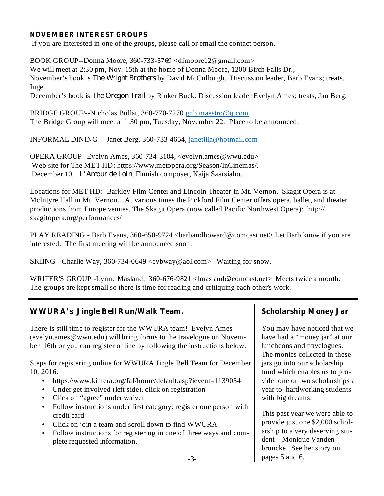#### **NOVEMBER INTEREST GROUPS**

If you are interested in one of the groups, please call or email the contact person.

BOOK GROUP--Donna Moore, 360-733-5769 <dfmoore12@gmail.com> We will meet at 2:30 pm, Nov. 15th at the home of Donna Moore, 1200 Birch Falls Dr., November's book is *The Wright Brothers* by David McCullough. Discussion leader, Barb Evans; treats, Inge.

December's book is *The Oregon Trail* by Rinker Buck. Discussion leader Evelyn Ames; treats, Jan Berg.

BRIDGE GROUP--Nicholas Bullat, 360-770-7270 gnb.maestro@q.com The Bridge Group will meet at 1:30 pm, Tuesday, November 22. Place to be announced.

INFORMAL DINING -- Janet Berg, 360-733-4654, janetlila@hotmail.com

OPERA GROUP--Evelyn Ames, 360-734-3184, <evelyn.ames@wwu.edu> Web site for The MET HD: https://www.metopera.org/Season/InCinemas/. December 10, L'Amour de Loin, Finnish composer, Kaija Saarsiaho.

Locations for MET HD: Barkley Film Center and Lincoln Theater in Mt. Vernon. Skagit Opera is at McIntyre Hall in Mt. Vernon. At various times the Pickford Film Center offers opera, ballet, and theater productions from Europe venues. The Skagit Opera (now called Pacific Northwest Opera): http:// skagitopera.org/performances/

PLAY READING - Barb Evans, 360-650-9724 <br/>barbandhoward@comcast.net> Let Barb know if you are interested. The first meeting will be announced soon.

SKIING - Charlie Way, 360-734-0649 <cybway@aol.com> Waiting for snow.

WRITER'S GROUP -Lynne Masland, 360-676-9821 <lmasland@comcast.net> Meets twice a month. The groups are kept small so there is time for reading and critiquing each other's work.

## **WWURA's Jingle Bell Run/Walk Team. Scholarship Money Jar**

There is still time to register for the WWURA team! Evelyn Ames (evelyn.ames@wwu.edu) will bring forms to the travelogue on November 16th or you can register online by following the instructions below.

Steps for registering online for WWURA Jingle Bell Team for December 10, 2016.

- https://www.kintera.org/faf/home/default.asp?ievent=1139054
- Under get involved (left side), click on registration
- Click on "agree" under waiver
- Follow instructions under first category: register one person with credit card
- Click on join a team and scroll down to find WWURA
- Follow instructions for registering in one of three ways and complete requested information.

You may have noticed that we have had a "money jar" at our luncheons and travelogues. The monies collected in these jars go into our scholarship fund which enables us to provide one or two scholarships a year to hardworking students with big dreams.

This past year we were able to provide just one \$2,000 scholarship to a very deserving student—Monique Vandenbroucke. See her story on pages 5 and 6.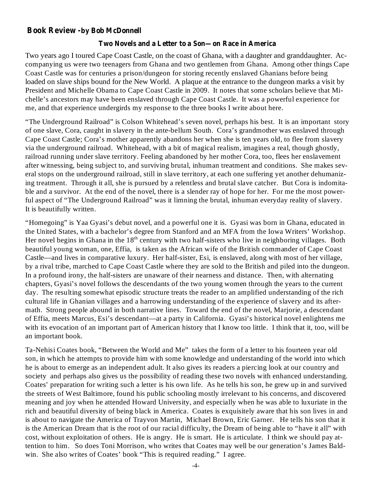## **Book Review -by Bob McDonnell**

#### **Two Novels and a Letter to a Son—on Race in America**

Two years ago I toured Cape Coast Castle, on the coast of Ghana, with a daughter and granddaughter. Accompanying us were two teenagers from Ghana and two gentlemen from Ghana. Among other things Cape Coast Castle was for centuries a prison/dungeon for storing recently enslaved Ghanians before being loaded on slave ships bound for the New World. A plaque at the entrance to the dungeon marks a visit by President and Michelle Obama to Cape Coast Castle in 2009. It notes that some scholars believe that Michelle's ancestors may have been enslaved through Cape Coast Castle. It was a powerful experience for me, and that experience undergirds my response to the three books I write about here.

"The Underground Railroad" is Colson Whitehead's seven novel, perhaps his best. It is an important story of one slave, Cora, caught in slavery in the ante-bellum South. Cora's grandmother was enslaved through Cape Coast Castle; Cora's mother apparently abandons her when she is ten years old, to flee from slavery via the underground railroad. Whitehead, with a bit of magical realism, imagines a real, though ghostly, railroad running under slave territory. Feeling abandoned by her mother Cora, too, flees her enslavement after witnessing, being subject to, and surviving brutal, inhuman treatment and conditions. She makes several stops on the underground railroad, still in slave territory, at each one suffering yet another dehumanizing treatment. Through it all, she is pursued by a relentless and brutal slave catcher. But Cora is indomitable and a survivor. At the end of the novel, there is a slender ray of hope for her. For me the most powerful aspect of "The Underground Railroad" was it limning the brutal, inhuman everyday reality of slavery. It is beautifully written.

"Homegoing" is Yaa Gyasi's debut novel, and a powerful one it is. Gyasi was born in Ghana, educated in the United States, with a bachelor's degree from Stanford and an MFA from the Iowa Writers' Workshop. Her novel begins in Ghana in the  $18<sup>th</sup>$  century with two half-sisters who live in neighboring villages. Both beautiful young woman, one, Effia, is taken as the African wife of the British commander of Cape Coast Castle—and lives in comparative luxury. Her half-sister, Esi, is enslaved, along with most of her village, by a rival tribe, marched to Cape Coast Castle where they are sold to the British and piled into the dungeon. In a profound irony, the half-sisters are unaware of their nearness and distance. Then, with alternating chapters, Gyasi's novel follows the descendants of the two young women through the years to the current day. The resulting somewhat episodic structure treats the reader to an amplified understanding of the rich cultural life in Ghanian villages and a harrowing understanding of the experience of slavery and its aftermath. Strong people abound in both narrative lines. Toward the end of the novel, Marjorie, a descendant of Effia, meets Marcus, Esi's descendant—at a party in California. Gyasi's historical novel enlightens me with its evocation of an important part of American history that I know too little. I think that it, too, will be an important book.

Ta-Nehisi Coates book, "Between the World and Me" takes the form of a letter to his fourteen year old son, in which he attempts to provide him with some knowledge and understanding of the world into which he is about to emerge as an independent adult. It also gives its readers a piercing look at our country and society and perhaps also gives us the possibility of reading these two novels with enhanced understanding. Coates' preparation for writing such a letter is his own life. As he tells his son, he grew up in and survived the streets of West Baltimore, found his public schooling mostly irrelevant to his concerns, and discovered meaning and joy when he attended Howard University, and especially when he was able to luxuriate in the rich and beautiful diversity of being black in America. Coates is exquisitely aware that his son lives in and is about to navigate the America of Trayvon Martin, Michael Brown, Eric Garner. He tells his son that it is the American Dream that is the root of our racial difficulty, the Dream of being able to "have it all" with cost, without exploitation of others. He is angry. He is smart. He is articulate. I think we should pay attention to him. So does Toni Morrison, who writes that Coates may well be our generation's James Baldwin. She also writes of Coates' book "This is required reading." I agree.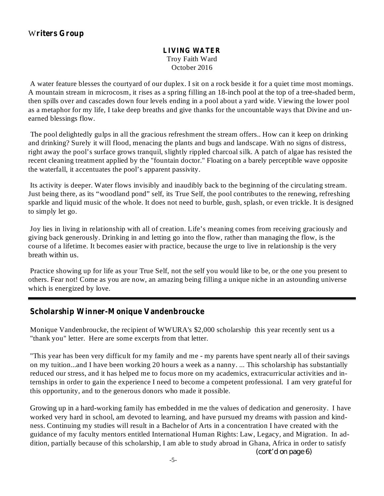#### Troy Faith Ward October 2016 **LIVING WATER**

A water feature blesses the courtyard of our duplex. I sit on a rock beside it for a quiet time most mornings. A mountain stream in microcosm, it rises as a spring filling an 18-inch pool at the top of a tree-shaded berm, then spills over and cascades down four levels ending in a pool about a yard wide. Viewing the lower pool as a metaphor for my life, I take deep breaths and give thanks for the uncountable ways that Divine and unearned blessings flow.

The pool delightedly gulps in all the gracious refreshment the stream offers.. How can it keep on drinking and drinking? Surely it will flood, menacing the plants and bugs and landscape. With no signs of distress, right away the pool's surface grows tranquil, slightly rippled charcoal silk. A patch of algae has resisted the recent cleaning treatment applied by the "fountain doctor." Floating on a barely perceptible wave opposite the waterfall, it accentuates the pool's apparent passivity.

Its activity is deeper. Water flows invisibly and inaudibly back to the beginning of the circulating stream. Just being there, as its "woodland pond" self, its True Self, the pool contributes to the renewing, refreshing sparkle and liquid music of the whole. It does not need to burble, gush, splash, or even trickle. It is designed to simply let go.

Joy lies in living in relationship with all of creation. Life's meaning comes from receiving graciously and giving back generously. Drinking in and letting go into the flow, rather than managing the flow, is the course of a lifetime. It becomes easier with practice, because the urge to live in relationship is the very breath within us.

Practice showing up for life as your True Self, not the self you would like to be, or the one you present to others. Fear not! Come as you are now, an amazing being filling a unique niche in an astounding universe which is energized by love.

## **Scholarship Winner-Monique Vandenbroucke**

Monique Vandenbroucke, the recipient of WWURA's \$2,000 scholarship this year recently sent us a "thank you" letter. Here are some excerpts from that letter.

"This year has been very difficult for my family and me - my parents have spent nearly all of their savings on my tuition...and I have been working 20 hours a week as a nanny. ... This scholarship has substantially reduced our stress, and it has helped me to focus more on my academics, extracurricular activities and internships in order to gain the experience I need to become a competent professional. I am very grateful for this opportunity, and to the generous donors who made it possible.

Growing up in a hard-working family has embedded in me the values of dedication and generosity. I have worked very hard in school, am devoted to learning, and have pursued my dreams with passion and kindness. Continuing my studies will result in a Bachelor of Arts in a concentration I have created with the guidance of my faculty mentors entitled International Human Rights: Law, Legacy, and Migration. In addition, partially because of this scholarship, I am able to study abroad in Ghana, Africa in order to satisfy

*(cont'd on page 6)*